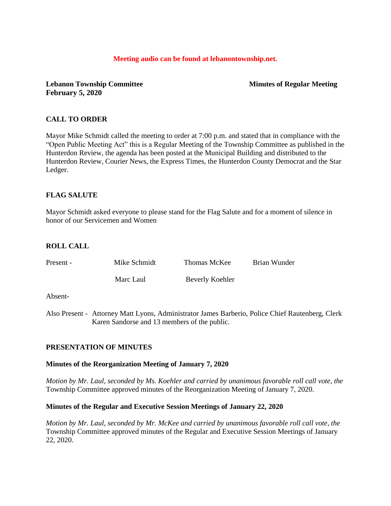#### **Meeting audio can be found at lebanontownship.net.**

**Lebanon Township Committee Minutes of Regular Meeting February 5, 2020**

# **CALL TO ORDER**

Mayor Mike Schmidt called the meeting to order at 7:00 p.m. and stated that in compliance with the "Open Public Meeting Act" this is a Regular Meeting of the Township Committee as published in the Hunterdon Review, the agenda has been posted at the Municipal Building and distributed to the Hunterdon Review, Courier News, the Express Times, the Hunterdon County Democrat and the Star Ledger.

# **FLAG SALUTE**

Mayor Schmidt asked everyone to please stand for the Flag Salute and for a moment of silence in honor of our Servicemen and Women

## **ROLL CALL**

| Present - | Mike Schmidt | Thomas McKee    | Brian Wunder |
|-----------|--------------|-----------------|--------------|
|           | Marc Laul    | Beverly Koehler |              |
|           |              |                 |              |

Absent-

Also Present - Attorney Matt Lyons, Administrator James Barberio, Police Chief Rautenberg, Clerk Karen Sandorse and 13 members of the public.

## **PRESENTATION OF MINUTES**

#### **Minutes of the Reorganization Meeting of January 7, 2020**

*Motion by Mr. Laul, seconded by Ms. Koehler and carried by unanimous favorable roll call vote, the* Township Committee approved minutes of the Reorganization Meeting of January 7, 2020.

#### **Minutes of the Regular and Executive Session Meetings of January 22, 2020**

*Motion by Mr. Laul, seconded by Mr. McKee and carried by unanimous favorable roll call vote, the* Township Committee approved minutes of the Regular and Executive Session Meetings of January 22, 2020.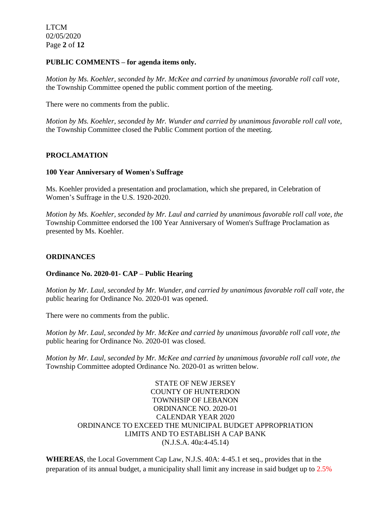LTCM 02/05/2020 Page **2** of **12**

#### **PUBLIC COMMENTS – for agenda items only.**

*Motion by Ms. Koehler, seconded by Mr. McKee and carried by unanimous favorable roll call vote,* the Township Committee opened the public comment portion of the meeting.

There were no comments from the public.

*Motion by Ms. Koehler, seconded by Mr. Wunder and carried by unanimous favorable roll call vote,* the Township Committee closed the Public Comment portion of the meeting.

## **PROCLAMATION**

#### **100 Year Anniversary of Women's Suffrage**

Ms. Koehler provided a presentation and proclamation, which she prepared, in Celebration of Women's Suffrage in the U.S. 1920-2020.

*Motion by Ms. Koehler, seconded by Mr. Laul and carried by unanimous favorable roll call vote, the* Township Committee endorsed the 100 Year Anniversary of Women's Suffrage Proclamation as presented by Ms. Koehler.

## **ORDINANCES**

## **Ordinance No. 2020-01- CAP – Public Hearing**

*Motion by Mr. Laul, seconded by Mr. Wunder, and carried by unanimous favorable roll call vote, the* public hearing for Ordinance No. 2020-01 was opened.

There were no comments from the public.

*Motion by Mr. Laul, seconded by Mr. McKee and carried by unanimous favorable roll call vote, the* public hearing for Ordinance No. 2020-01 was closed.

*Motion by Mr. Laul, seconded by Mr. McKee and carried by unanimous favorable roll call vote, the* Township Committee adopted Ordinance No. 2020-01 as written below.

> STATE OF NEW JERSEY COUNTY OF HUNTERDON TOWNHSIP OF LEBANON ORDINANCE NO. 2020-01 CALENDAR YEAR 2020 ORDINANCE TO EXCEED THE MUNICIPAL BUDGET APPROPRIATION LIMITS AND TO ESTABLISH A CAP BANK (N.J.S.A. 40a:4-45.14)

**WHEREAS**, the Local Government Cap Law, N.J.S. 40A: 4-45.1 et seq., provides that in the preparation of its annual budget, a municipality shall limit any increase in said budget up to 2.5%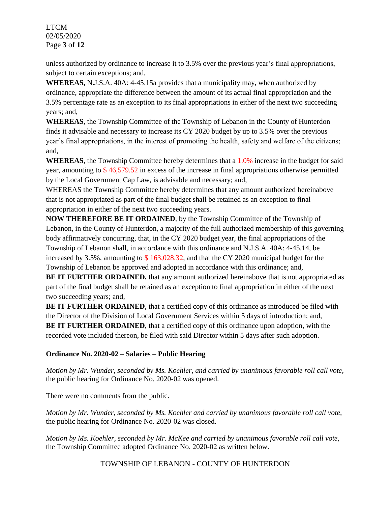LTCM 02/05/2020 Page **3** of **12**

unless authorized by ordinance to increase it to 3.5% over the previous year's final appropriations, subject to certain exceptions; and,

**WHEREAS,** N.J.S.A. 40A: 4-45.15a provides that a municipality may, when authorized by ordinance, appropriate the difference between the amount of its actual final appropriation and the 3.5% percentage rate as an exception to its final appropriations in either of the next two succeeding years; and,

**WHEREAS**, the Township Committee of the Township of Lebanon in the County of Hunterdon finds it advisable and necessary to increase its CY 2020 budget by up to 3.5% over the previous year's final appropriations, in the interest of promoting the health, safety and welfare of the citizens; and,

**WHEREAS**, the Township Committee hereby determines that a 1.0% increase in the budget for said year, amounting to \$ 46,579.52 in excess of the increase in final appropriations otherwise permitted by the Local Government Cap Law, is advisable and necessary; and,

WHEREAS the Township Committee hereby determines that any amount authorized hereinabove that is not appropriated as part of the final budget shall be retained as an exception to final appropriation in either of the next two succeeding years.

**NOW THEREFORE BE IT ORDAINED**, by the Township Committee of the Township of Lebanon, in the County of Hunterdon, a majority of the full authorized membership of this governing body affirmatively concurring, that, in the CY 2020 budget year, the final appropriations of the Township of Lebanon shall, in accordance with this ordinance and N.J.S.A. 40A: 4-45.14, be increased by 3.5%, amounting to \$ 163,028.32, and that the CY 2020 municipal budget for the Township of Lebanon be approved and adopted in accordance with this ordinance; and,

**BE IT FURTHER ORDAINED,** that any amount authorized hereinabove that is not appropriated as part of the final budget shall be retained as an exception to final appropriation in either of the next two succeeding years; and,

**BE IT FURTHER ORDAINED**, that a certified copy of this ordinance as introduced be filed with the Director of the Division of Local Government Services within 5 days of introduction; and, **BE IT FURTHER ORDAINED**, that a certified copy of this ordinance upon adoption, with the recorded vote included thereon, be filed with said Director within 5 days after such adoption.

# **Ordinance No. 2020-02 – Salaries – Public Hearing**

*Motion by Mr. Wunder, seconded by Ms. Koehler, and carried by unanimous favorable roll call vote,* the public hearing for Ordinance No. 2020-02 was opened.

There were no comments from the public.

*Motion by Mr. Wunder, seconded by Ms. Koehler and carried by unanimous favorable roll call vote,*  the public hearing for Ordinance No. 2020-02 was closed.

*Motion by Ms. Koehler, seconded by Mr. McKee and carried by unanimous favorable roll call vote,*  the Township Committee adopted Ordinance No. 2020-02 as written below.

TOWNSHIP OF LEBANON - COUNTY OF HUNTERDON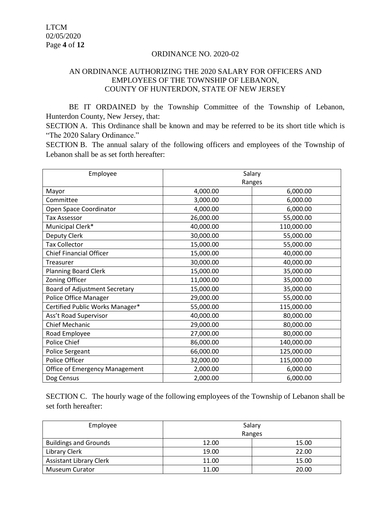#### ORDINANCE NO. 2020-02

# AN ORDINANCE AUTHORIZING THE 2020 SALARY FOR OFFICERS AND EMPLOYEES OF THE TOWNSHIP OF LEBANON, COUNTY OF HUNTERDON, STATE OF NEW JERSEY

BE IT ORDAINED by the Township Committee of the Township of Lebanon, Hunterdon County, New Jersey, that:

SECTION A. This Ordinance shall be known and may be referred to be its short title which is "The 2020 Salary Ordinance."

SECTION B. The annual salary of the following officers and employees of the Township of Lebanon shall be as set forth hereafter:

| Employee                              | Salary    |            |  |
|---------------------------------------|-----------|------------|--|
|                                       | Ranges    |            |  |
| Mayor                                 | 4,000.00  | 6,000.00   |  |
| Committee                             | 3,000.00  | 6,000.00   |  |
| Open Space Coordinator                | 4,000.00  | 6,000.00   |  |
| <b>Tax Assessor</b>                   | 26,000.00 | 55,000.00  |  |
| Municipal Clerk*                      | 40,000.00 | 110,000.00 |  |
| Deputy Clerk                          | 30,000.00 | 55,000.00  |  |
| <b>Tax Collector</b>                  | 15,000.00 | 55,000.00  |  |
| <b>Chief Financial Officer</b>        | 15,000.00 | 40,000.00  |  |
| Treasurer                             | 30,000.00 | 40,000.00  |  |
| <b>Planning Board Clerk</b>           | 15,000.00 | 35,000.00  |  |
| Zoning Officer                        | 11,000.00 | 35,000.00  |  |
| Board of Adjustment Secretary         | 15,000.00 | 35,000.00  |  |
| Police Office Manager                 | 29,000.00 | 55,000.00  |  |
| Certified Public Works Manager*       | 55,000.00 | 115,000.00 |  |
| Ass't Road Supervisor                 | 40,000.00 | 80,000.00  |  |
| Chief Mechanic                        | 29,000.00 | 80,000.00  |  |
| Road Employee                         | 27,000.00 | 80,000.00  |  |
| Police Chief                          | 86,000.00 | 140,000.00 |  |
| Police Sergeant                       | 66,000.00 | 125,000.00 |  |
| Police Officer                        | 32,000.00 | 115,000.00 |  |
| <b>Office of Emergency Management</b> | 2,000.00  | 6,000.00   |  |
| Dog Census                            | 2,000.00  | 6,000.00   |  |

SECTION C. The hourly wage of the following employees of the Township of Lebanon shall be set forth hereafter:

| Employee                       | Salary |        |
|--------------------------------|--------|--------|
|                                |        | Ranges |
| <b>Buildings and Grounds</b>   | 12.00  | 15.00  |
| Library Clerk                  | 19.00  | 22.00  |
| <b>Assistant Library Clerk</b> | 11.00  | 15.00  |
| <b>Museum Curator</b>          | 11.00  | 20.00  |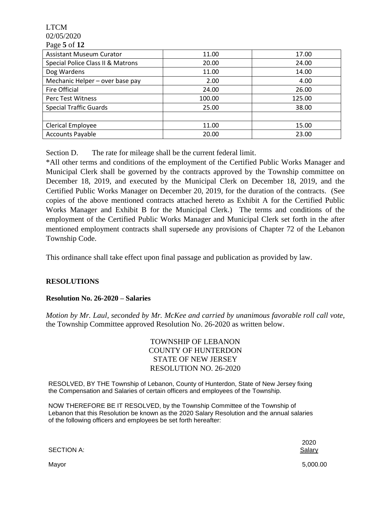LTCM 02/05/2020 Page **5** of **12**

| $1 \mu \leq c \nu \ln 12$         |        |        |
|-----------------------------------|--------|--------|
| <b>Assistant Museum Curator</b>   | 11.00  | 17.00  |
| Special Police Class II & Matrons | 20.00  | 24.00  |
| Dog Wardens                       | 11.00  | 14.00  |
| Mechanic Helper - over base pay   | 2.00   | 4.00   |
| Fire Official                     | 24.00  | 26.00  |
| Perc Test Witness                 | 100.00 | 125.00 |
| <b>Special Traffic Guards</b>     | 25.00  | 38.00  |
|                                   |        |        |
| Clerical Employee                 | 11.00  | 15.00  |
| <b>Accounts Payable</b>           | 20.00  | 23.00  |

Section D. The rate for mileage shall be the current federal limit.

\*All other terms and conditions of the employment of the Certified Public Works Manager and Municipal Clerk shall be governed by the contracts approved by the Township committee on December 18, 2019, and executed by the Municipal Clerk on December 18, 2019, and the Certified Public Works Manager on December 20, 2019, for the duration of the contracts. (See copies of the above mentioned contracts attached hereto as Exhibit A for the Certified Public Works Manager and Exhibit B for the Municipal Clerk.) The terms and conditions of the employment of the Certified Public Works Manager and Municipal Clerk set forth in the after mentioned employment contracts shall supersede any provisions of Chapter 72 of the Lebanon Township Code.

This ordinance shall take effect upon final passage and publication as provided by law.

## **RESOLUTIONS**

## **Resolution No. 26-2020 – Salaries**

*Motion by Mr. Laul, seconded by Mr. McKee and carried by unanimous favorable roll call vote,* the Township Committee approved Resolution No. 26-2020 as written below.

> TOWNSHIP OF LEBANON COUNTY OF HUNTERDON STATE OF NEW JERSEY RESOLUTION NO. 26-2020

RESOLVED, BY THE Township of Lebanon, County of Hunterdon, State of New Jersey fixing the Compensation and Salaries of certain officers and employees of the Township.

NOW THEREFORE BE IT RESOLVED, by the Township Committee of the Township of Lebanon that this Resolution be known as the 2020 Salary Resolution and the annual salaries of the following officers and employees be set forth hereafter:

SECTION A: Salary Salary Salary Salary Salary Salary Salary Salary Salary Salary Salary Salary Salary Salary Salary Salary Salary Salary Salary Salary Salary Salary Salary Salary Salary Salary Salary Salary Salary Salary S

2020

Mayor 5,000.00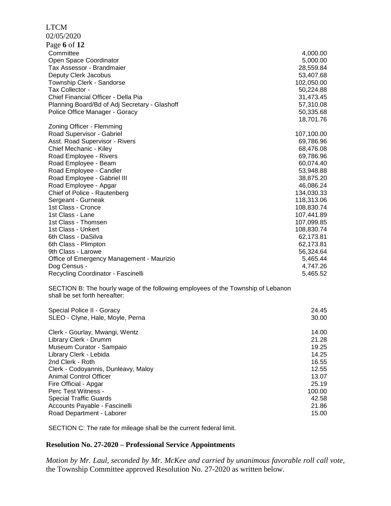#### LTCM

02/05/2020

| Page 6 of 12                                  |            |
|-----------------------------------------------|------------|
| Committee                                     | 4,000.00   |
| Open Space Coordinator                        | 5,000.00   |
| Tax Assessor - Brandmaier                     | 28,559.84  |
| Deputy Clerk Jacobus                          | 53,407.68  |
| Township Clerk - Sandorse                     | 102,050.00 |
| Tax Collector -                               | 50,224.88  |
| Chief Financial Officer - Della Pia           | 31,473.45  |
| Planning Board/Bd of Adj Secretary - Glashoff | 57,310.08  |
| Police Office Manager - Goracy                | 50,335.68  |
|                                               | 18,701.76  |
| Zoning Officer - Flemming                     |            |
| Road Supervisor - Gabriel                     | 107,100.00 |
| Asst. Road Supervisor - Rivers                | 69,786.96  |
| Chief Mechanic - Kiley                        | 68,476.08  |
| Road Employee - Rivers                        | 69,786.96  |
| Road Employee - Beam                          | 60,074.40  |
| Road Employee - Candler                       | 53,948.88  |
| Road Employee - Gabriel III                   | 38,875.20  |
| Road Employee - Apgar                         | 46,086.24  |
| Chief of Police - Rautenberg                  | 134,030.33 |
| Sergeant - Gurneak                            | 118,313.06 |
| 1st Class - Cronce                            | 108,830.74 |
| 1st Class - Lane                              | 107,441.89 |
| 1st Class - Thomsen                           | 107,099.85 |
| 1st Class - Unkert                            | 108,830.74 |
| 6th Class - DaSilva                           | 62,173.81  |
| 6th Class - Plimpton                          | 62,173.81  |
| 9th Class - Larowe                            | 56,324.64  |
| Office of Emergency Management - Maurizio     | 5,465.44   |
| Dog Census -                                  | 4,747.26   |
| Recycling Coordinator - Fascinelli            | 5,465.52   |

SECTION B: The hourly wage of the following employees of the Township of Lebanon shall be set forth hereafter:

| Special Police II - Goracy          | 24.45  |
|-------------------------------------|--------|
| SLEO - Clyne, Hale, Moyle, Perna    | 30.00  |
| Clerk - Gourlay, Mwangi, Wentz      | 14.00  |
| Library Clerk - Drumm               | 21.28  |
| Museum Curator - Sampaio            | 19.25  |
| Library Clerk - Lebida              | 14.25  |
| 2nd Clerk - Roth                    | 16.55  |
| Clerk - Codoyannis, Dunleavy, Maloy | 12.55  |
| <b>Animal Control Officer</b>       | 13.07  |
| Fire Official - Apgar               | 25.19  |
| Perc Test Witness -                 | 100.00 |
| <b>Special Traffic Guards</b>       | 42.58  |
| Accounts Payable - Fascinelli       | 21.86  |
| Road Department - Laborer           | 15.00  |

SECTION C: The rate for mileage shall be the current federal limit.

# **Resolution No. 27-2020 – Professional Service Appointments**

*Motion by Mr. Laul, seconded by Mr. McKee and carried by unanimous favorable roll call vote,* the Township Committee approved Resolution No. 27-2020 as written below.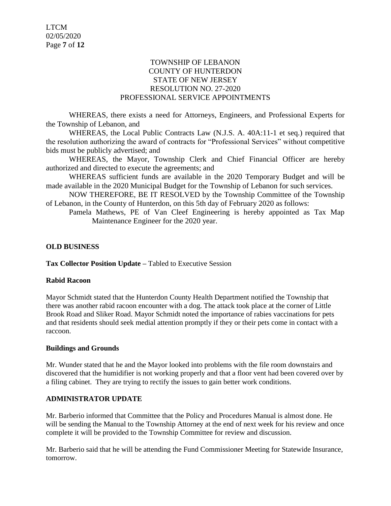# TOWNSHIP OF LEBANON COUNTY OF HUNTERDON STATE OF NEW JERSEY RESOLUTION NO. 27-2020 PROFESSIONAL SERVICE APPOINTMENTS

WHEREAS, there exists a need for Attorneys, Engineers, and Professional Experts for the Township of Lebanon, and

WHEREAS, the Local Public Contracts Law (N.J.S. A. 40A:11-1 et seq.) required that the resolution authorizing the award of contracts for "Professional Services" without competitive bids must be publicly advertised; and

WHEREAS, the Mayor, Township Clerk and Chief Financial Officer are hereby authorized and directed to execute the agreements; and

WHEREAS sufficient funds are available in the 2020 Temporary Budget and will be made available in the 2020 Municipal Budget for the Township of Lebanon for such services.

NOW THEREFORE, BE IT RESOLVED by the Township Committee of the Township of Lebanon, in the County of Hunterdon, on this 5th day of February 2020 as follows:

Pamela Mathews, PE of Van Cleef Engineering is hereby appointed as Tax Map Maintenance Engineer for the 2020 year.

## **OLD BUSINESS**

**Tax Collector Position Update –** Tabled to Executive Session

#### **Rabid Racoon**

Mayor Schmidt stated that the Hunterdon County Health Department notified the Township that there was another rabid racoon encounter with a dog. The attack took place at the corner of Little Brook Road and Sliker Road. Mayor Schmidt noted the importance of rabies vaccinations for pets and that residents should seek medial attention promptly if they or their pets come in contact with a raccoon.

#### **Buildings and Grounds**

Mr. Wunder stated that he and the Mayor looked into problems with the file room downstairs and discovered that the humidifier is not working properly and that a floor vent had been covered over by a filing cabinet. They are trying to rectify the issues to gain better work conditions.

## **ADMINISTRATOR UPDATE**

Mr. Barberio informed that Committee that the Policy and Procedures Manual is almost done. He will be sending the Manual to the Township Attorney at the end of next week for his review and once complete it will be provided to the Township Committee for review and discussion.

Mr. Barberio said that he will be attending the Fund Commissioner Meeting for Statewide Insurance, tomorrow.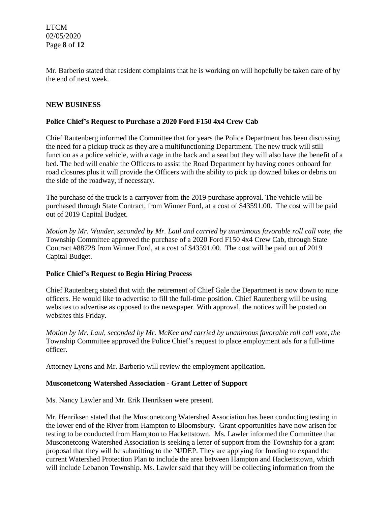LTCM 02/05/2020 Page **8** of **12**

Mr. Barberio stated that resident complaints that he is working on will hopefully be taken care of by the end of next week.

## **NEW BUSINESS**

#### **Police Chief's Request to Purchase a 2020 Ford F150 4x4 Crew Cab**

Chief Rautenberg informed the Committee that for years the Police Department has been discussing the need for a pickup truck as they are a multifunctioning Department. The new truck will still function as a police vehicle, with a cage in the back and a seat but they will also have the benefit of a bed. The bed will enable the Officers to assist the Road Department by having cones onboard for road closures plus it will provide the Officers with the ability to pick up downed bikes or debris on the side of the roadway, if necessary.

The purchase of the truck is a carryover from the 2019 purchase approval. The vehicle will be purchased through State Contract, from Winner Ford, at a cost of \$43591.00. The cost will be paid out of 2019 Capital Budget.

*Motion by Mr. Wunder, seconded by Mr. Laul and carried by unanimous favorable roll call vote, the* Township Committee approved the purchase of a 2020 Ford F150 4x4 Crew Cab, through State Contract #88728 from Winner Ford, at a cost of \$43591.00. The cost will be paid out of 2019 Capital Budget.

#### **Police Chief's Request to Begin Hiring Process**

Chief Rautenberg stated that with the retirement of Chief Gale the Department is now down to nine officers. He would like to advertise to fill the full-time position. Chief Rautenberg will be using websites to advertise as opposed to the newspaper. With approval, the notices will be posted on websites this Friday.

*Motion by Mr. Laul, seconded by Mr. McKee and carried by unanimous favorable roll call vote, the* Township Committee approved the Police Chief's request to place employment ads for a full-time officer.

Attorney Lyons and Mr. Barberio will review the employment application.

#### **Musconetcong Watershed Association - Grant Letter of Support**

Ms. Nancy Lawler and Mr. Erik Henriksen were present.

Mr. Henriksen stated that the Musconetcong Watershed Association has been conducting testing in the lower end of the River from Hampton to Bloomsbury. Grant opportunities have now arisen for testing to be conducted from Hampton to Hackettstown. Ms. Lawler informed the Committee that Musconetcong Watershed Association is seeking a letter of support from the Township for a grant proposal that they will be submitting to the NJDEP. They are applying for funding to expand the current Watershed Protection Plan to include the area between Hampton and Hackettstown, which will include Lebanon Township. Ms. Lawler said that they will be collecting information from the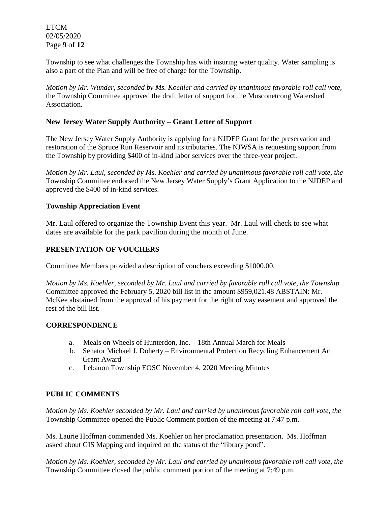LTCM 02/05/2020 Page **9** of **12**

Township to see what challenges the Township has with insuring water quality. Water sampling is also a part of the Plan and will be free of charge for the Township.

*Motion by Mr. Wunder, seconded by Ms. Koehler and carried by unanimous favorable roll call vote,* the Township Committee approved the draft letter of support for the Musconetcong Watershed Association.

# **New Jersey Water Supply Authority – Grant Letter of Support**

The New Jersey Water Supply Authority is applying for a NJDEP Grant for the preservation and restoration of the Spruce Run Reservoir and its tributaries. The NJWSA is requesting support from the Township by providing \$400 of in-kind labor services over the three-year project.

*Motion by Mr. Laul, seconded by Ms. Koehler and carried by unanimous favorable roll call vote, the* Township Committee endorsed the New Jersey Water Supply's Grant Application to the NJDEP and approved the \$400 of in-kind services.

## **Township Appreciation Event**

Mr. Laul offered to organize the Township Event this year. Mr. Laul will check to see what dates are available for the park pavilion during the month of June.

#### **PRESENTATION OF VOUCHERS**

Committee Members provided a description of vouchers exceeding \$1000.00.

*Motion by Ms. Koehler, seconded by Mr. Laul and carried by favorable roll call vote, the Township* Committee approved the February 5, 2020 bill list in the amount \$959,021.48 ABSTAIN: Mr. McKee abstained from the approval of his payment for the right of way easement and approved the rest of the bill list.

#### **CORRESPONDENCE**

- a. Meals on Wheels of Hunterdon, Inc. 18th Annual March for Meals
- b. Senator Michael J. Doherty Environmental Protection Recycling Enhancement Act Grant Award
- c. Lebanon Township EOSC November 4, 2020 Meeting Minutes

## **PUBLIC COMMENTS**

*Motion by Ms. Koehler seconded by Mr. Laul and carried by unanimous favorable roll call vote, the* Township Committee opened the Public Comment portion of the meeting at 7:47 p.m.

Ms. Laurie Hoffman commended Ms. Koehler on her proclamation presentation. Ms. Hoffman asked about GIS Mapping and inquired on the status of the "library pond".

*Motion by Ms. Koehler, seconded by Mr. Laul and carried by unanimous favorable roll call vote, the* Township Committee closed the public comment portion of the meeting at 7:49 p.m.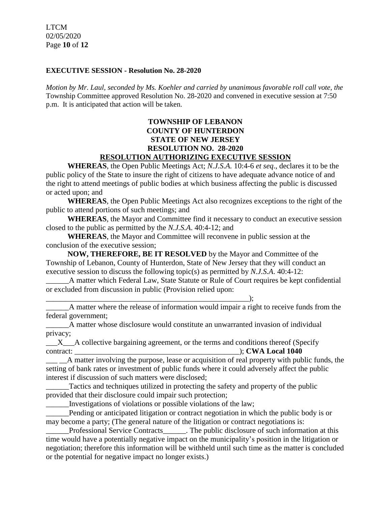LTCM 02/05/2020 Page **10** of **12**

#### **EXECUTIVE SESSION - Resolution No. 28-2020**

*Motion by Mr. Laul, seconded by Ms. Koehler and carried by unanimous favorable roll call vote, the* Township Committee approved Resolution No. 28-2020 and convened in executive session at 7:50 p.m. It is anticipated that action will be taken.

# **TOWNSHIP OF LEBANON COUNTY OF HUNTERDON STATE OF NEW JERSEY RESOLUTION NO. 28-2020 RESOLUTION AUTHORIZING EXECUTIVE SESSION**

**WHEREAS**, the Open Public Meetings Act; *N.J.S.A.* 10:4-6 *et seq*., declares it to be the public policy of the State to insure the right of citizens to have adequate advance notice of and the right to attend meetings of public bodies at which business affecting the public is discussed or acted upon; and

**WHEREAS**, the Open Public Meetings Act also recognizes exceptions to the right of the public to attend portions of such meetings; and

**WHEREAS**, the Mayor and Committee find it necessary to conduct an executive session closed to the public as permitted by the *N.J.S.A*. 40:4-12; and

**WHEREAS**, the Mayor and Committee will reconvene in public session at the conclusion of the executive session;

**NOW, THEREFORE, BE IT RESOLVED** by the Mayor and Committee of the Township of Lebanon, County of Hunterdon, State of New Jersey that they will conduct an executive session to discuss the following topic(s) as permitted by *N.J.S.A*. 40:4-12:

\_\_\_\_\_\_A matter which Federal Law, State Statute or Rule of Court requires be kept confidential or excluded from discussion in public (Provision relied upon:

\_\_\_\_\_\_\_\_\_\_\_\_\_\_\_\_\_\_\_\_\_\_\_\_\_\_\_\_\_\_\_\_\_\_\_\_\_\_\_\_\_\_\_\_\_\_\_\_\_\_\_\_\_);

\_\_\_\_\_\_A matter where the release of information would impair a right to receive funds from the federal government;

\_\_\_\_\_\_A matter whose disclosure would constitute an unwarranted invasion of individual privacy;

X A collective bargaining agreement, or the terms and conditions thereof (Specify contract:  $\qquad \qquad$   $\qquad \qquad$   $\qquad \qquad$   $\qquad \qquad$   $\qquad \qquad$   $\qquad \qquad$   $\qquad \qquad$   $\qquad \qquad$   $\qquad \qquad$   $\qquad \qquad$   $\qquad \qquad$   $\qquad \qquad$   $\qquad \qquad$   $\qquad \qquad$   $\qquad \qquad$   $\qquad \qquad$   $\qquad \qquad$   $\qquad \qquad$   $\qquad \qquad$   $\qquad \qquad$   $\qquad \qquad$   $\qquad \qquad$   $\qquad \qquad$   $\qquad \$ 

\_\_\_ \_\_A matter involving the purpose, lease or acquisition of real property with public funds, the setting of bank rates or investment of public funds where it could adversely affect the public interest if discussion of such matters were disclosed;

\_\_\_\_\_\_Tactics and techniques utilized in protecting the safety and property of the public provided that their disclosure could impair such protection;

\_\_\_\_\_\_Investigations of violations or possible violations of the law;

Pending or anticipated litigation or contract negotiation in which the public body is or may become a party; (The general nature of the litigation or contract negotiations is:

\_\_\_\_\_\_Professional Service Contracts\_\_\_\_\_\_. The public disclosure of such information at this time would have a potentially negative impact on the municipality's position in the litigation or negotiation; therefore this information will be withheld until such time as the matter is concluded or the potential for negative impact no longer exists.)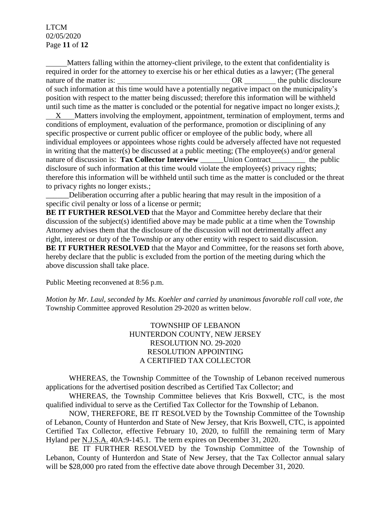## LTCM 02/05/2020 Page **11** of **12**

 Matters falling within the attorney-client privilege, to the extent that confidentiality is required in order for the attorney to exercise his or her ethical duties as a lawyer; (The general nature of the matter is:  $OR$  the public disclosure of such information at this time would have a potentially negative impact on the municipality's position with respect to the matter being discussed; therefore this information will be withheld until such time as the matter is concluded or the potential for negative impact no longer exists.*)*;

 X Matters involving the employment, appointment, termination of employment, terms and conditions of employment, evaluation of the performance, promotion or disciplining of any specific prospective or current public officer or employee of the public body, where all individual employees or appointees whose rights could be adversely affected have not requested in writing that the matter(s) be discussed at a public meeting; (The employee(s) and/or general nature of discussion is: **Tax Collector Interview** Union Contract the public disclosure of such information at this time would violate the employee(s) privacy rights; therefore this information will be withheld until such time as the matter is concluded or the threat to privacy rights no longer exists.;

Deliberation occurring after a public hearing that may result in the imposition of a specific civil penalty or loss of a license or permit;

**BE IT FURTHER RESOLVED** that the Mayor and Committee hereby declare that their discussion of the subject(s) identified above may be made public at a time when the Township Attorney advises them that the disclosure of the discussion will not detrimentally affect any right, interest or duty of the Township or any other entity with respect to said discussion. **BE IT FURTHER RESOLVED** that the Mayor and Committee, for the reasons set forth above, hereby declare that the public is excluded from the portion of the meeting during which the above discussion shall take place.

Public Meeting reconvened at 8:56 p.m.

*Motion by Mr. Laul, seconded by Ms. Koehler and carried by unanimous favorable roll call vote, the* Township Committee approved Resolution 29-2020 as written below.

> TOWNSHIP OF LEBANON HUNTERDON COUNTY, NEW JERSEY RESOLUTION NO. 29-2020 RESOLUTION APPOINTING A CERTIFIED TAX COLLECTOR

WHEREAS, the Township Committee of the Township of Lebanon received numerous applications for the advertised position described as Certified Tax Collector; and

WHEREAS, the Township Committee believes that Kris Boxwell, CTC, is the most qualified individual to serve as the Certified Tax Collector for the Township of Lebanon.

NOW, THEREFORE, BE IT RESOLVED by the Township Committee of the Township of Lebanon, County of Hunterdon and State of New Jersey, that Kris Boxwell, CTC, is appointed Certified Tax Collector, effective February 10, 2020, to fulfill the remaining term of Mary Hyland per N.J.S.A. 40A:9-145.1. The term expires on December 31, 2020.

BE IT FURTHER RESOLVED by the Township Committee of the Township of Lebanon, County of Hunterdon and State of New Jersey, that the Tax Collector annual salary will be \$28,000 pro rated from the effective date above through December 31, 2020.